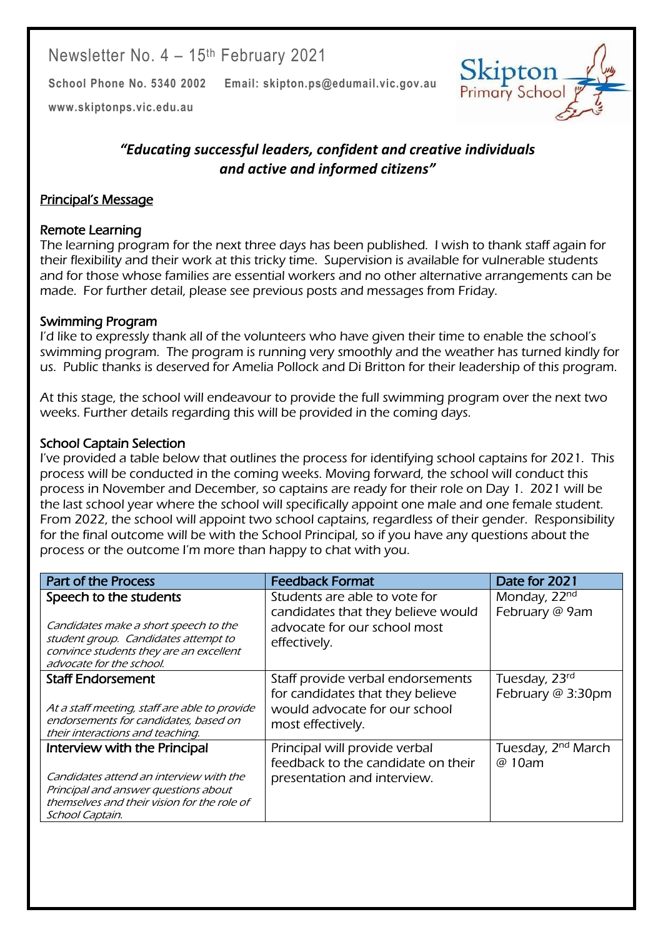Newsletter No. 4 – 15th February 2021

**School Phone No. 5340 2002 Email: skipton.ps@edumail.vic.gov.au**



Centacare South West

**[www.skiptonps.vic.edu.au](http://www.skiptonps.vic.edu.au/)**

# *"Educating successful leaders, confident and creative individuals and active and informed citizens"*

# Principal's Message

### Remote Learning

The learning program for the next three days has been published. I wish to thank staff again for their flexibility and their work at this tricky time. Supervision is available for vulnerable students and for those whose families are essential workers and no other alternative arrangements can be made. For further detail, please see previous posts and messages from Friday.

# Swimming Program

I'd like to expressly thank all of the volunteers who have given their time to enable the school's swimming program. The program is running very smoothly and the weather has turned kindly for us. Public thanks is deserved for Amelia Pollock and Di Britton for their leadership of this program.

At this stage, the school will endeavour to provide the full swimming program over the next two weeks. Further details regarding this will be provided in the coming days.

### School Captain Selection

I've provided a table below that outlines the process for identifying school captains for 2021. This process will be conducted in the coming weeks. Moving forward, the school will conduct this process in November and December, so captains are ready for their role on Day 1. 2021 will be the last school year where the school will specifically appoint one male and one female student. From 2022, the school will appoint two school captains, regardless of their gender. Responsibility for the final outcome will be with the School Principal, so if you have any questions about the process or the outcome I'm more than happy to chat with you.

| <b>Feedback Format</b>                                                             | Date for 2021                            |
|------------------------------------------------------------------------------------|------------------------------------------|
| Students are able to vote for                                                      | Monday, 22nd                             |
| candidates that they believe would<br>advocate for our school most<br>effectively. | February @ 9am                           |
| Staff provide verbal endorsements                                                  | Tuesday, 23rd                            |
| would advocate for our school                                                      | February @ 3:30pm                        |
| most effectively.                                                                  |                                          |
| Principal will provide verbal<br>feedback to the candidate on their                | Tuesday, 2 <sup>nd</sup> March<br>@ 10am |
| presentation and interview.                                                        |                                          |
|                                                                                    |                                          |
|                                                                                    |                                          |
|                                                                                    | for candidates that they believe         |